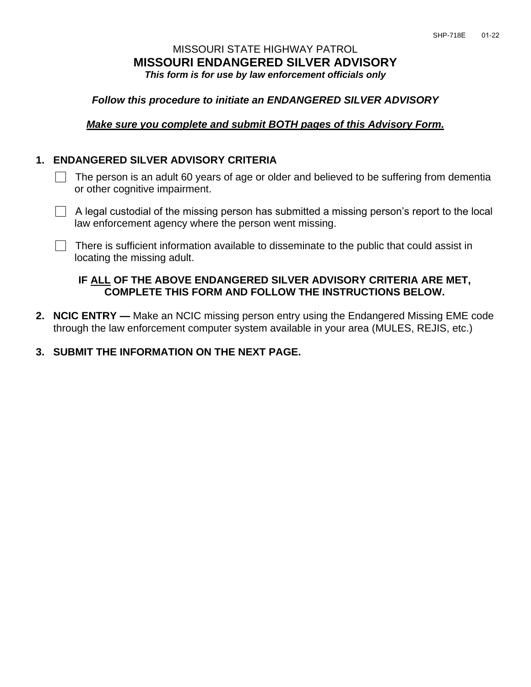# MISSOURI STATE HIGHWAY PATROL **MISSOURI ENDANGERED SILVER ADVISORY** *This form is for use by law enforcement officials only*

### *Follow this procedure to initiate an ENDANGERED SILVER ADVISORY*

#### *Make sure you complete and submit BOTH pages of this Advisory Form.*

#### **1. ENDANGERED SILVER ADVISORY CRITERIA**

 The person is an adult 60 years of age or older and believed to be suffering from dementia or other cognitive impairment.

 $\Box$  A legal custodial of the missing person has submitted a missing person's report to the local law enforcement agency where the person went missing.

There is sufficient information available to disseminate to the public that could assist in locating the missing adult.

## **IF ALL OF THE ABOVE ENDANGERED SILVER ADVISORY CRITERIA ARE MET, COMPLETE THIS FORM AND FOLLOW THE INSTRUCTIONS BELOW.**

- **2. NCIC ENTRY —** Make an NCIC missing person entry using the Endangered Missing EME code through the law enforcement computer system available in your area (MULES, REJIS, etc.)
- **3. SUBMIT THE INFORMATION ON THE NEXT PAGE.**